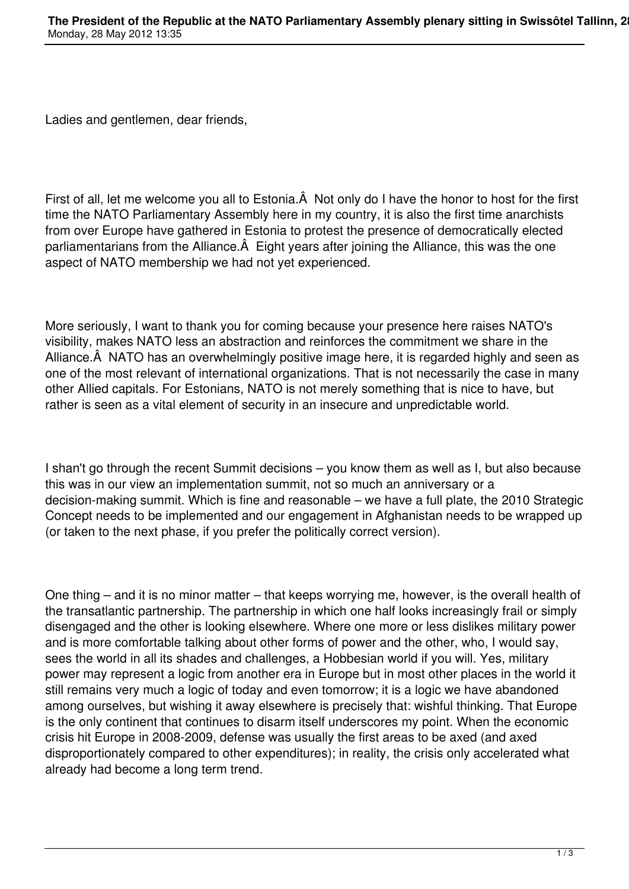Ladies and gentlemen, dear friends,

First of all, let me welcome you all to Estonia. A Not only do I have the honor to host for the first time the NATO Parliamentary Assembly here in my country, it is also the first time anarchists from over Europe have gathered in Estonia to protest the presence of democratically elected parliamentarians from the Alliance. A Eight years after joining the Alliance, this was the one aspect of NATO membership we had not yet experienced.

More seriously, I want to thank you for coming because your presence here raises NATO's visibility, makes NATO less an abstraction and reinforces the commitment we share in the Alliance. NATO has an overwhelmingly positive image here, it is regarded highly and seen as one of the most relevant of international organizations. That is not necessarily the case in many other Allied capitals. For Estonians, NATO is not merely something that is nice to have, but rather is seen as a vital element of security in an insecure and unpredictable world.

I shan't go through the recent Summit decisions – you know them as well as I, but also because this was in our view an implementation summit, not so much an anniversary or a decision-making summit. Which is fine and reasonable – we have a full plate, the 2010 Strategic Concept needs to be implemented and our engagement in Afghanistan needs to be wrapped up (or taken to the next phase, if you prefer the politically correct version).

One thing – and it is no minor matter – that keeps worrying me, however, is the overall health of the transatlantic partnership. The partnership in which one half looks increasingly frail or simply disengaged and the other is looking elsewhere. Where one more or less dislikes military power and is more comfortable talking about other forms of power and the other, who, I would say, sees the world in all its shades and challenges, a Hobbesian world if you will. Yes, military power may represent a logic from another era in Europe but in most other places in the world it still remains very much a logic of today and even tomorrow; it is a logic we have abandoned among ourselves, but wishing it away elsewhere is precisely that: wishful thinking. That Europe is the only continent that continues to disarm itself underscores my point. When the economic crisis hit Europe in 2008-2009, defense was usually the first areas to be axed (and axed disproportionately compared to other expenditures); in reality, the crisis only accelerated what already had become a long term trend.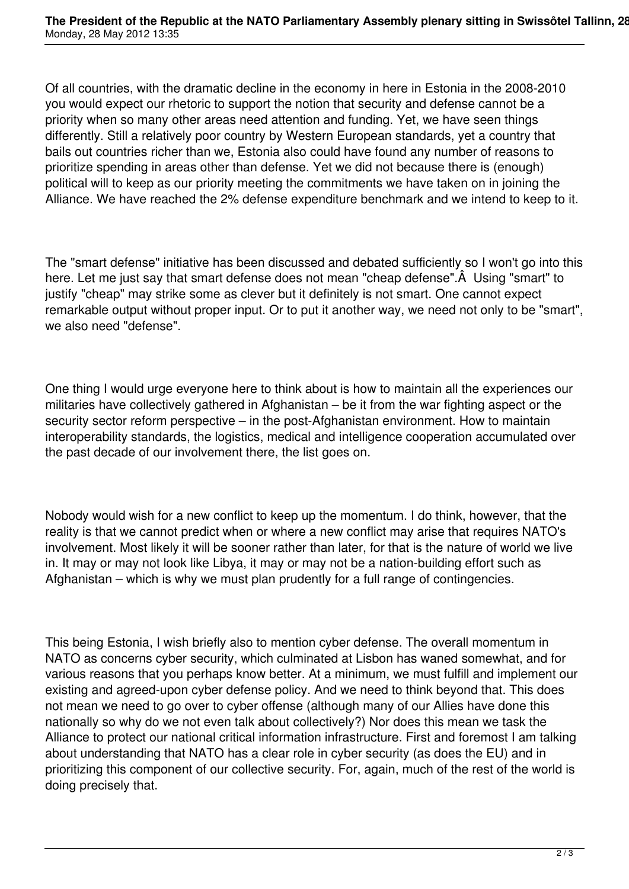Of all countries, with the dramatic decline in the economy in here in Estonia in the 2008-2010 you would expect our rhetoric to support the notion that security and defense cannot be a priority when so many other areas need attention and funding. Yet, we have seen things differently. Still a relatively poor country by Western European standards, yet a country that bails out countries richer than we, Estonia also could have found any number of reasons to prioritize spending in areas other than defense. Yet we did not because there is (enough) political will to keep as our priority meeting the commitments we have taken on in joining the Alliance. We have reached the 2% defense expenditure benchmark and we intend to keep to it.

The "smart defense" initiative has been discussed and debated sufficiently so I won't go into this here. Let me just say that smart defense does not mean "cheap defense". Â Using "smart" to justify "cheap" may strike some as clever but it definitely is not smart. One cannot expect remarkable output without proper input. Or to put it another way, we need not only to be "smart", we also need "defense".

One thing I would urge everyone here to think about is how to maintain all the experiences our militaries have collectively gathered in Afghanistan – be it from the war fighting aspect or the security sector reform perspective – in the post-Afghanistan environment. How to maintain interoperability standards, the logistics, medical and intelligence cooperation accumulated over the past decade of our involvement there, the list goes on.

Nobody would wish for a new conflict to keep up the momentum. I do think, however, that the reality is that we cannot predict when or where a new conflict may arise that requires NATO's involvement. Most likely it will be sooner rather than later, for that is the nature of world we live in. It may or may not look like Libya, it may or may not be a nation-building effort such as Afghanistan – which is why we must plan prudently for a full range of contingencies.

This being Estonia, I wish briefly also to mention cyber defense. The overall momentum in NATO as concerns cyber security, which culminated at Lisbon has waned somewhat, and for various reasons that you perhaps know better. At a minimum, we must fulfill and implement our existing and agreed-upon cyber defense policy. And we need to think beyond that. This does not mean we need to go over to cyber offense (although many of our Allies have done this nationally so why do we not even talk about collectively?) Nor does this mean we task the Alliance to protect our national critical information infrastructure. First and foremost I am talking about understanding that NATO has a clear role in cyber security (as does the EU) and in prioritizing this component of our collective security. For, again, much of the rest of the world is doing precisely that.